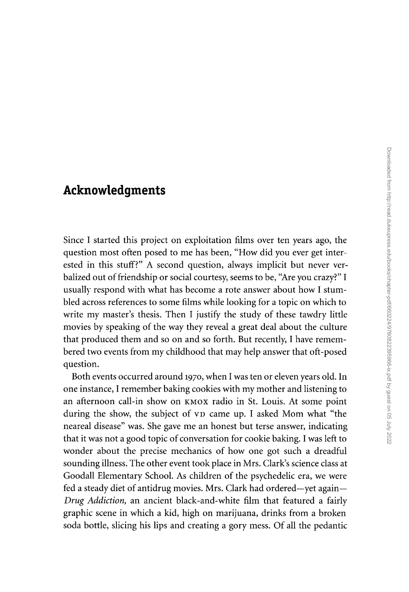## **Acknowledgments**

Since I started this project on exploitation films over ten years ago, the question most often posed to me has been, "How did you ever get interested in this stuff?" A second question, always implicit but never verbalized out of friendship or social courtesy, seems to be, "Are you crazy?" I usually respond with what has become a rote answer about how I stumbled across references to some films while looking for a topic on which to write my master's thesis. Then I justify the study of these tawdry little movies by speaking of the way they reveal a great deal about the culture that produced them and so on and so forth. But recently, I have remembered two events from my childhood that may help answer that oft-posed question.

Both events occurred around 1970, when I was ten or eleven years old. In one instance, I remember baking cookies with my mother and listening to an afternoon call-in show on KMOX radio in St. Louis. At some point during the show, the subject of VD came up. I asked Mom what "the neareal disease" was. She gave me an honest but terse answer, indicating that it was not a good topic of conversation for cookie baking. I was left to wonder about the precise mechanics of how one got such a dreadful sounding illness. The other event took place in Mrs. Clark's science class at Goodall Elementary School. As children of the psychedelic era, we were fed a steady diet of antidrug movies. Mrs. Clark had ordered-yet again-*Drug Addiction,* an ancient black-and-white film that featured a fairly graphic scene in which a kid, high on marijuana, drinks from a broken soda bottle, slicing his lips and creating a gory mess. Of all the pedantic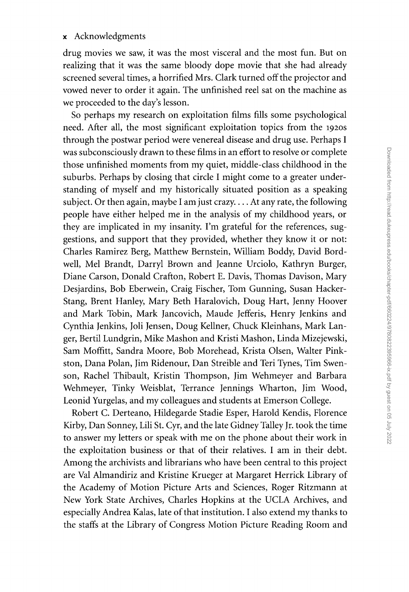## x Acknowledgments

drug movies we saw, it was the most visceral and the most fun. But on realizing that it was the same bloody dope movie that she had already screened several times, a horrified Mrs. Clark turned off the projector and vowed never to order it again. The unfinished reel sat on the machine as we proceeded to the day's lesson.

So perhaps my research on exploitation films fills some psychological need. After all, the most significant exploitation topics from the 1920S through the postwar period were venereal disease and drug use. Perhaps I was subconsciously drawn to these films in an effort to resolve or complete those unfinished moments from my quiet, middle-class childhood in the suburbs. Perhaps by closing that circle I might come to a greater understanding of myself and my historically situated position as a speaking subject. Or then again, maybe I am just crazy .... At any rate, the following people have either helped me in the analysis of my childhood years, or they are implicated in my insanity. I'm grateful for the references, suggestions, and support that they provided, whether they know it or not: Charles Ramirez Berg, Matthew Bernstein, William Boddy, David Bordwell, Mel Brandt, Darryl Brown and Jeanne Urciolo, Kathryn Burger, Diane Carson, Donald Crafton, Robert E. Davis, Thomas Davison, Mary Desjardins, Bob Eberwein, Craig Fischer, Tom Gunning, Susan Hacker-Stang, Brent Hanley, Mary Beth Haralovich, Doug Hart, Jenny Hoover and Mark Tobin, Mark Jancovich, Maude Jefferis, Henry Jenkins and Cynthia Jenkins, Joli Jensen, Doug Kellner, Chuck Kleinhans, Mark Langer, Bertil Lundgrin, Mike Mashon and Kristi Mashon, Linda Mizejewski, Sam Moffitt, Sandra Moore, Bob Morehead, Krista Olsen, Walter Pinkston, Dana Polan, Jim Ridenour, Dan Streible and Teri Tynes, Tim Swenson, Rachel Thibault, Kristin Thompson, Jim Wehmeyer and Barbara Wehmeyer, Tinky Weisblat, Terrance Jennings Wharton, Jim Wood, Leonid Yurgelas, and my colleagues and students at Emerson College.

Robert C. Derteano, Hildegarde Stadie Esper, Harold Kendis, Florence Kirby, Dan Sonney, Lili St. Cyr, and the late Gidney Talley Jr. took the time to answer my letters or speak with me on the phone about their work in the exploitation business or that of their relatives. I am in their debt. Among the archivists and librarians who have been central to this project are Val Almandiriz and Kristine Krueger at Margaret Herrick Library of the Academy of Motion Picture Arts and Sciences, Roger Ritzmann at New York State Archives, Charles Hopkins at the UCLA Archives, and especially Andrea Kalas, late of that institution. I also extend my thanks to the staffs at the Library of Congress Motion Picture Reading Room and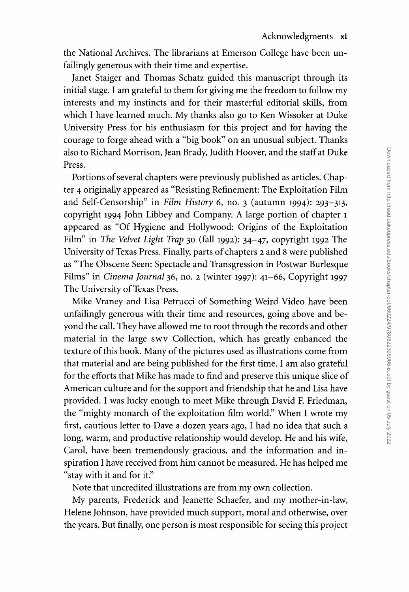the National Archives. The librarians at Emerson College have been unfailingly generous with their time and expertise.

Janet Staiger and Thomas Schatz guided this manuscript through its initial stage. I am grateful to them for giving me the freedom to follow my interests and my instincts and for their masterful editorial skills, from which I have learned much. My thanks also go to Ken Wissoker at Duke University Press for his enthusiasm for this project and for having the courage to forge ahead with a "big book" on an unusual subject. Thanks also to Richard Morrison, Jean Brady, Judith Hoover, and the staff at Duke Press.

Portions of several chapters were previously published as articles. Chapter 4 originally appeared as "Resisting Refinement: The Exploitation Film and Self-Censorship" in *Film History* 6, no. 3 (autumn 1994): 293-313, copyright 1994 John Libbey and Company. A large portion of chapter 1 appeared as "Of Hygiene and Hollywood: Origins of the Exploitation Film" in *The Velvet Light Trap* 30 (fall 1992): 34-47, copyright 1992 The University of Texas Press. Finally, parts of chapters 2 and 8 were published as "The Obscene Seen: Spectacle and Transgression in Postwar Burlesque Films" in *Cinema Journal* 36, no. 2 (winter 1997): 41-66, Copyright 1997 The University of Texas Press.

Mike Vraney and Lisa Petrucci of Something Weird Video have been unfailingly generous with their time and resources, going above and beyond the call. They have allowed me to root through the records and other material in the large swv Collection, which has greatly enhanced the texture of this book. Many of the pictures used as illustrations come from that material and are being published for the first time. I am also grateful for the efforts that Mike has made to find and preserve this unique slice of American culture and for the support and friendship that he and Lisa have provided. I was lucky enough to meet Mike through David F. Friedman, the "mighty monarch of the exploitation film world." When I wrote my first, cautious letter to Dave a dozen years ago, I had no idea that such a long, warm, and productive relationship would develop. He and his wife, Carol, have been tremendously gracious, and the information and inspiration I have received from him cannot be measured. He has helped me "stay with it and for it."

Note that uncredited illustrations are from my own collection.

My parents, Frederick and Jeanette Schaefer, and my mother-in-law, Helene Johnson, have provided much support, moral and otherwise, over the years. But finally, one person is most responsible for seeing this project